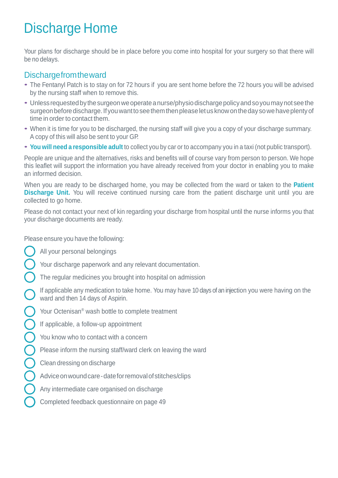# Discharge Home

Your plans for discharge should be in place before you come into hospital for your surgery so that there will be no delays.

## Dischargefromtheward

- The Fentanyl Patch is to stay on for <sup>72</sup> hours if you are sent home before the <sup>72</sup> hours you will be advised by the nursing staff when to remove this.
- Unless requested by the surgeon we operate a nurse/physio discharge policy and so you may not see the surgeon before discharge. If you want to see them then please let us know on the day so we have plenty of time in order to contact them.
- When it is time for you to be discharged, the nursing staff will give you <sup>a</sup> copy of your discharge summary. A copy of this will also be sent to your GP.
- **You will need <sup>a</sup> responsible adult** to collect you by car or to accompany you in <sup>a</sup> taxi (not public transport).

People are unique and the alternatives, risks and benefits will of course vary from person to person. We hope this leaflet will support the information you have already received from your doctor in enabling you to make an informed decision.

When you are ready to be discharged home, you may be collected from the ward or taken to the **Patient Discharge Unit.** You will receive continued nursing care from the patient discharge unit until you are collected to go home.

Please do not contact your next of kin regarding your discharge from hospital until the nurse informs you that your discharge documents are ready.

Please ensure you have the following:

- All your personal belongings
	- Your discharge paperwork and any relevant documentation.
- The regular medicines you brought into hospital on admission
- If applicable any medication to take home. You may have 10 days of an injection you were having on the ward and then 14 days of Aspirin.
- Your Octenisan® wash bottle to complete treatment
- If applicable, a follow-up appointment
- You know who to contact with a concern
- Please inform the nursing staff/ward clerk on leaving the ward
- Clean dressing on discharge
- Advice on wound care date for removal of stitches/clips
- Any intermediate care organised on discharge
- Completed feedback questionnaire on page 49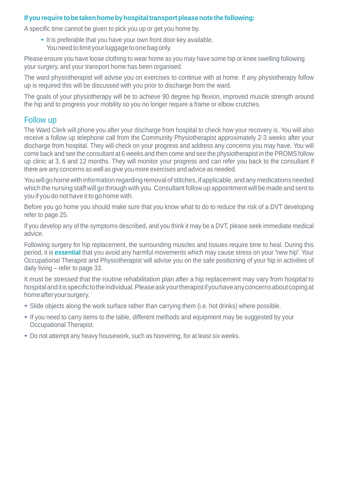#### **If yourequiretobetakenhomebyhospitaltransportpleasenotethe following:**

A specific time cannot be given to pick you up or get you home by.

• It is preferable that you have your own front door key available. You need to limit your luggage to one bag only.

Please ensure you have loose clothing to wear home as you may have some hip or knee swelling following your surgery, and your transport home has been organised.

The ward physiotherapist will advise you on exercises to continue with at home. If any physiotherapy follow up is required this will be discussed with you prior to discharge from the ward.

The goals of your physiotherapy will be to achieve 90 degree hip flexion, improved muscle strength around the hip and to progress your mobility so you no longer require a frame or elbow crutches.

#### Follow up

The Ward Clerk will phone you after your discharge from hospital to check how your recovery is. You will also receive a follow up telephone call from the Community Physiotherapist approximately 2-3 weeks after your discharge from hospital. They will check on your progress and address any concerns you may have. You will come back and see the consultant at 6 weeks and then come and see the physiotherapist in the PROMS follow up clinic at 3, 6 and 12 months. They will monitor your progress and can refer you back to the consultant if there are any concerns as well as give you more exercises and advice as needed.

You will go home with information regarding removal of stitches, if applicable, and any medications needed which the nursing staff will go through with you. Consultant follow up appointment will be made and sent to you if you do not have it to go home with.

Before you go home you should make sure that you know what to do to reduce the risk of a DVT developing refer to page 25.

If you develop any of the symptoms described, and you think it may be a DVT, please seek immediate medical advice.

Following surgery for hip replacement, the surrounding muscles and tissues require time to heal. During this period, it is **essential** that you avoid any harmful movements which may cause stress on your "new hip". Your Occupational Therapist and Physiotherapist will advise you on the safe positioning of your hip in activities of daily living – refer to page 33.

It must be stressed that the routine rehabilitation plan after a hip replacement may vary from hospital to hospital and it is specific to the individual. Please ask your therapist if you have any concerns about coping at homeafteryoursurgery.

- Slide objects along the work surface rather than carrying them (i.e. hot drinks) where possible.
- If you need to carry items to the table, different methods and equipment may be suggested by your Occupational Therapist.
- Do not attempt any heavy housework, such as hoovering, for at least six weeks.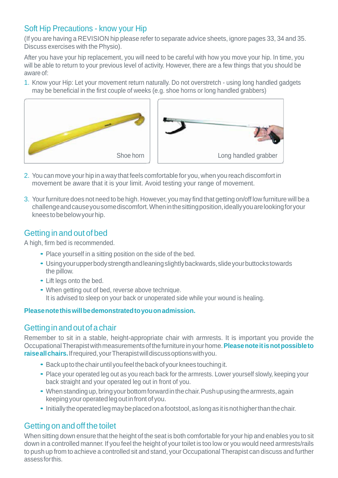# Soft Hip Precautions - know your Hip

(If you are having a REVISION hip please refer to separate advice sheets, ignore pages 33, 34 and 35. Discuss exercises with the Physio).

After you have your hip replacement, you will need to be careful with how you move your hip. In time, you will be able to return to your previous level of activity. However, there are a few things that you should be aware of:

1. Know your Hip: Let your movement return naturally. Do not overstretch - using long handled gadgets may be beneficial in the first couple of weeks (e.g. shoe horns or long handled grabbers)



- 2. You can move your hip in a way that feels comfortable for you, when you reach discomfort in movement be aware that it is your limit. Avoid testing your range of movement.
- 3. Yourfurniture does not need to be high. However, you may find that getting on/off low furniture will be a challengeandcauseyousomediscomfort.Wheninthesittingposition,ideallyyouarelookingforyour kneestobebelowyourhip.

# Getting in and out of bed

A high, firm bed is recommended.

- Place yourself in a sitting position on the side of the bed.
- Usingyourupperbodystrengthandleaningslightlybackwards,slideyourbuttockstowards the pillow.
- Lift legs onto the bed.
- When getting out of bed, reverse above technique. It is advised to sleep on your back or unoperated side while your wound is healing.

#### **Pleasenotethiswillbedemonstratedtoyouonadmission.**

#### Getting in and out of a chair

Remember to sit in a stable, height-appropriate chair with armrests. It is important you provide the OccupationalTherapistwithmeasurementsofthefurnitureinyourhome.**Pleasenoteitisnotpossibleto raiseallchairs.**Ifrequired,yourTherapistwilldiscussoptionswithyou.

- Back up to the chair until you feel the back of your knees touching it.
- Place your operated leg out as you reach back for the armrests. Lower yourself slowly, keeping your back straight and your operated leg out in front of you.
- When standing up, bring your bottom forward in the chair. Push up using the armrests, again keeping your operated legout infront of you.
- Initially the operated leg may be placed on a footstool, as long as it is not higher than the chair.

# Getting on and off the toilet

When sitting down ensure that the height of the seat is both comfortable for your hip and enables you to sit down in a controlled manner. If you feel the height of your toilet is too low or you would need armrests/rails to push up from to achieve a controlled sit and stand, your Occupational Therapist can discuss and further assessforthis.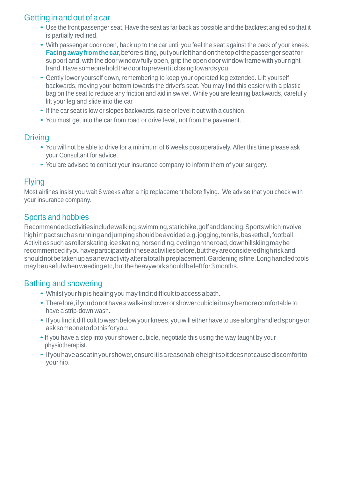# Getting in and out of a car

- Use the front passenger seat. Have the seat as far back as possible and the backrest angled so that it is partially reclined.
- With passenger door open, back up to the car until you feel the seat against the back of your knees. **Facing away from the car,** before sitting, put your left hand on the top of the passenger seat for support and, with the door window fully open, grip the open door window frame with your right hand. Have someone hold the door to prevent it closing towards you.
- Gently lower yourself down, remembering to keep your operated leg extended. Lift yourself backwards, moving your bottom towards the driver's seat. You may find this easier with a plastic bag on the seat to reduce any friction and aid in swivel. While you are leaning backwards, carefully lift your leg and slide into the car
- If the car seat is low or slopes backwards, raise or level it out with <sup>a</sup> cushion.
- You must get into the car from road or drive level, not from the pavement.

#### **Driving**

- You will not be able to drive for <sup>a</sup> minimum of <sup>6</sup> weeks postoperatively. After this time please ask your Consultant for advice.
- You are advised to contact your insurance company to inform them of your surgery.

#### Flying

Most airlines insist you wait 6 weeks after a hip replacement before flying. We advise that you check with your insurance company.

#### Sports and hobbies

Recommendedactivitiesincludewalking,swimming,staticbike,golfanddancing.Sportswhichinvolve highimpactsuchasrunningandjumpingshouldbeavoidede.g.jogging,tennis,basketball,football. Activities such as roller skating, ice skating, horse riding, cycling on the road, downhillskiing may be recommencedifyouhaveparticipatedintheseactivitiesbefore,buttheyareconsideredhighriskand shouldnotbetakenupasanewactivityafteratotalhipreplacement.Gardeningisfine.Longhandledtools may be useful when weeding etc, but the heavywork should be left for 3 months.

#### Bathing and showering

- Whilst your hip is healing you may find it difficult to access a bath.
- Therefore,ifyoudonothaveawalk-inshowerorshowercubicleitmaybemorecomfortableto have a strip-down wash.
- If you find it difficult to wash below your knees, you will either have to use a long handled sponge or asksomeonetodothisforyou.
- If you have a step into your shower cubicle, negotiate this using the way taught by your physiotherapist.
- Ifyouhaveaseatinyourshower,ensureitisareasonableheightsoitdoesnotcausediscomfortto your hip.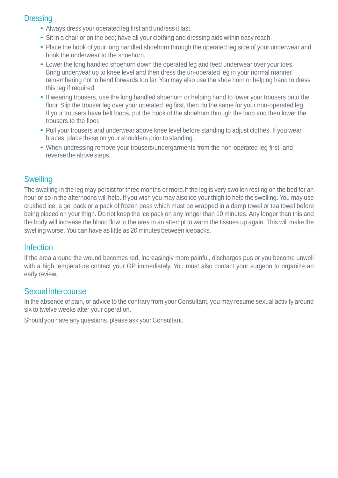#### **Dressing**

- Always dress your operated leg first and undress it last.
- Sit in <sup>a</sup> chair or on the bed; have all your clothing and dressing aids within easy reach.
- Place the hook of your long handled shoehorn through the operated leg side of your underwear and hook the underwear to the shoehorn.
- Lower the long handled shoehorn down the operated leg and feed underwear over your toes. Bring underwear up to knee level and then dress the un-operated leg in your normal manner, remembering not to bend forwards too far. You may also use the shoe horn or helping hand to dress this leg if required.
- If wearing trousers, use the long handled shoehorn or helping hand to lower your trousers onto the floor. Slip the trouser leg over your operated leg first, then do the same for your non-operated leg. If your trousers have belt loops, put the hook of the shoehorn through the loop and then lower the trousers to the floor.
- Pull your trousers and underwear above knee level before standing to adjust clothes. If you wear braces, place these on your shoulders prior to standing.
- When undressing remove your trousers/undergarments from the non-operated leg first, and reverse the above steps.

# **Swelling**

The swelling in the leg may persist for three months or more.If the leg is very swollen resting on the bed for an hour or so in the afternoons will help. If you wish you may also ice your thigh to help the swelling. You may use crushed ice, a gel pack or a pack of frozen peas which must be wrapped in a damp towel or tea towel before being placed on your thigh. Do not keep the ice pack on any longer than 10 minutes. Any longer than this and the body will increase the blood flow to the area in an attempt to warm the tissues up again. This will make the swelling worse. You can have as little as 20 minutes between icepacks.

#### Infection

If the area around the wound becomes red, increasingly more painful, discharges pus or you become unwell with a high temperature contact your GP immediately. You must also contact your surgeon to organize an early review.

#### **SexualIntercourse**

In the absence of pain, or advice to the contrary from your Consultant, you may resume sexual activity around six to twelve weeks after your operation.

Should you have any questions, please ask your Consultant.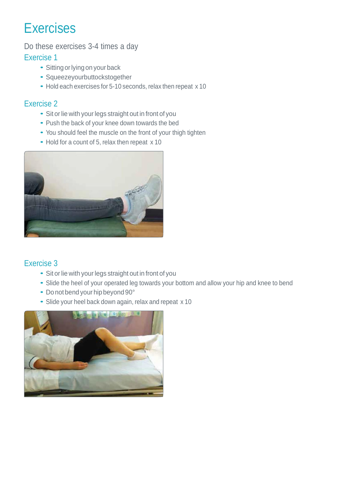Do these exercises 3-4 times a day

#### Exercise 1

- Sitting or lying on your back
- Squeezeyourbuttockstogether
- Hold each exercises for 5-10 seconds, relax then repeat x 10

## Exercise 2

- Sit or lie with your legs straight out in front of you
- Push the back of your knee down towards the bed
- You should feel the muscle on the front of your thigh tighten
- Hold for a count of 5, relax then repeat x 10



# Exercise 3

- Sit or lie with your legs straight out in front of you
- Slide the heel of your operated leg towards your bottom and allow your hip and knee to bend
- Donot bend your hipbeyond 90°
- Slide your heel back down again, relax and repeat <sup>x</sup> <sup>10</sup>

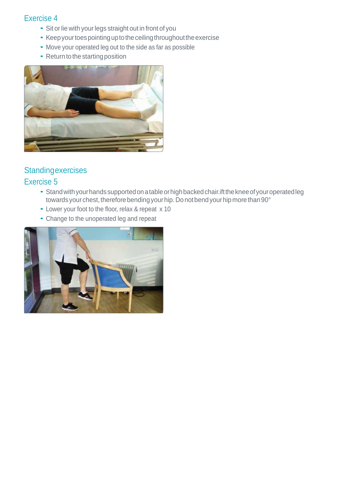- Sit or lie with your legs straight out in front of you
- Keep your toes pointing up to the ceiling throughout the exercise
- Move your operated leg out to the side as far as possible
- $\bullet$  Return to the starting position



# **Standingexercises**

#### Exercise 5

- Stand with your hands supported on a table or high backed chair. ift the knee of your operated leg towards your chest, therefore bending your hip. Do not bend your hip more than 90°
- Lower your foot to the floor, relax & repeat <sup>x</sup> <sup>10</sup>
- Change to the unoperated leg and repeat

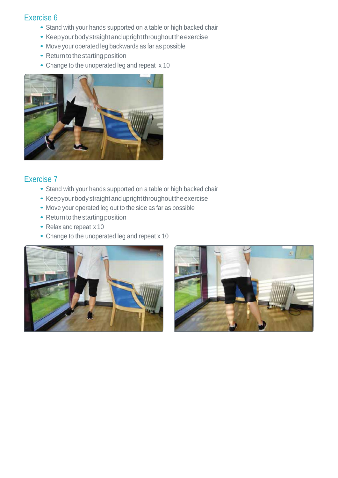- Stand with your hands supported on <sup>a</sup> table or high backed chair
- Keep your body straight and upright throughout the exercise
- Move your operated leg backwards as far as possible
- Return to the starting position
- Change to the unoperated leg and repeat <sup>x</sup> <sup>10</sup>



#### Exercise 7

- Stand with your hands supported on <sup>a</sup> table or high backed chair
- Keep your body straight and upright throughout the exercise
- Move your operated leg out to the side as far as possible
- Return to the starting position
- Relax and repeat <sup>x</sup> <sup>10</sup>
- Change to the unoperated leg and repeat <sup>x</sup> <sup>10</sup>



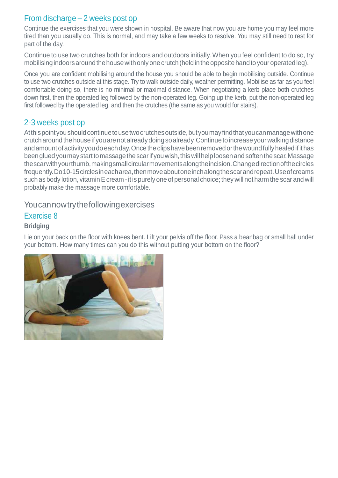#### From discharge – 2 weeks post op

Continue the exercises that you were shown in hospital. Be aware that now you are home you may feel more tired than you usually do. This is normal, and may take a few weeks to resolve. You may still need to rest for part of the day.

Continue to use two crutches both for indoors and outdoors initially. When you feel confident to do so, try mobilising indoors around the house with only one crutch (held in the opposite hand to your operated leg).

Once you are confident mobilising around the house you should be able to begin mobilising outside. Continue to use two crutches outside at this stage. Try to walk outside daily, weather permitting. Mobilise as far as you feel comfortable doing so, there is no minimal or maximal distance. When negotiating a kerb place both crutches down first, then the operated leg followed by the non-operated leg. Going up the kerb, put the non-operated leg first followed by the operated leg, and then the crutches (the same as you would for stairs).

#### 2-3 weeks post op

At this point you should continue to use two crutches outside, but you may find that you can manage with one crutcharoundthehouseif youarenotalreadydoingsoalready.Continuetoincreaseyourwalkingdistance and amount of activity you do each day. Once the clips have been removed or the wound fully healed if it has been glued you may start to massage the scarif you wish, this will help loosen and soften the scar. Massage thescarwithyourthumb,makingsmallcircularmovementsalongtheincision.Changedirectionofthecircles frequently.Do10-15circlesineacharea,thenmoveaboutoneinchalongthescarandrepeat.Useofcreams such as body lotion, vitamin E cream - it is purely one of personal choice; they will not harm the scar and will probably make the massage more comfortable.

#### Youcannowtrythefollowingexercises

#### Exercise 8

#### **Bridging**

Lie on your back on the floor with knees bent. Lift your pelvis off the floor. Pass a beanbag or small ball under your bottom. How many times can you do this without putting your bottom on the floor?

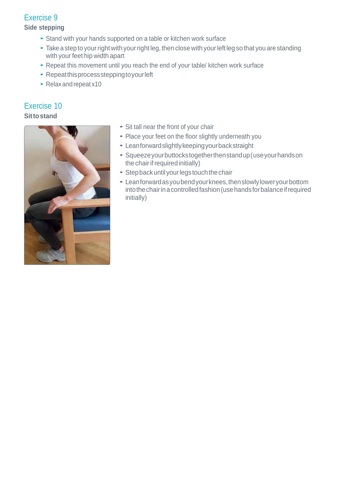**Side stepping**

- Stand with your hands supported on <sup>a</sup> table or kitchen work surface
- Take a step to your right with your right leg, then close with your left leg so that you are standing with your feet hip width apart
- Repeat this movement until you reach the end of your table/ kitchen work surface
- Repeatthisprocesssteppingtoyourleft
- Relax and repeat x10

# Exercise 10

**Sittostand**



- Sit tall near the front of your chair
- Place your feet on the floor slightly underneath you
- Leanforwardslightlykeepingyourbackstraight
- Squeezeyourbuttockstogetherthenstandup(useyourhandson the chair if required initially)
- Step back until your legs touch the chair
- Leanforwardasyoubendyourknees,thenslowlyloweryourbottom intothechairinacontrolledfashion(usehandsforbalanceifrequired initially)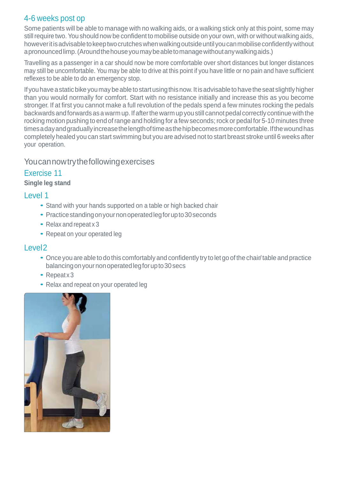#### 4-6 weeks post op

Some patients will be able to manage with no walking aids, or a walking stick only at this point, some may still require two. You should now be confident to mobilise outside on your own, with or without walking aids, howeveritisadvisabletokeeptwocrutcheswhenwalkingoutsideuntilyoucanmobiliseconfidentlywithout apronouncedlimp.(Aroundthehouseyoumaybeabletomanagewithoutanywalkingaids.)

Travelling as a passenger in a car should now be more comfortable over short distances but longer distances may still be uncomfortable. You may be able to drive at this point if you have little or no pain and have sufficient reflexes to be able to do an emergency stop.

If you have a static bike you may be able to start using this now. It is advisable to have the seat slightly higher than you would normally for comfort. Start with no resistance initially and increase this as you become stronger. If at first you cannot make a full revolution of the pedals spend a few minutes rocking the pedals backwards and forwards as a warm up. If after the warm up you still cannot pedal correctly continue with the rocking motion pushing to end of range and holding for a few seconds; rock or pedal for 5-10 minutes three timesadayandgraduallyincreasethelengthoftimeasthehipbecomesmorecomfortable.Ifthewoundhas completely healed you can start swimming but you are advised not to start breast stroke until 6 weeks after your operation.

#### Youcannowtrythefollowingexercises

#### Exercise 11

#### **Single leg stand**

#### Level 1

- Stand with your hands supported on <sup>a</sup> table or high backed chair
- Practice standing on your non operated leg for up to 30 seconds
- Relax and repeat <sup>x</sup> <sup>3</sup>
- Repeat on your operated leg

#### Level2

- Once you are able to dothis comfortably and confidently try tolet go of the chair/ table and practice balancingonyournonoperatedlegforupto30secs
- Repeatx3
- Relax and repeat on your operated leg

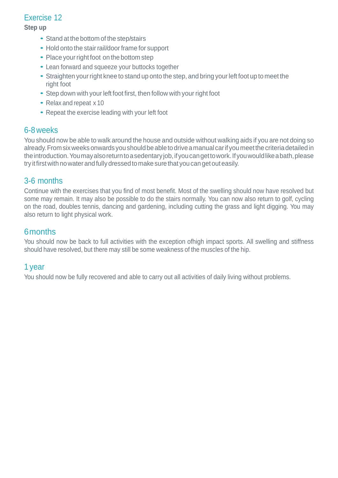#### **Step up**

- Stand at the bottom of the step/stairs
- Hold onto the stair rail/door frame for support
- Place your right foot on the bottom step
- Lean forward and squeeze your buttocks together
- Straighten your right knee to stand up onto the step, and bring your left foot up to meet the right foot
- Step down with your left foot first, then follow with your right foot
- Relax and repeat <sup>x</sup> <sup>10</sup>
- Repeat the exercise leading with your left foot

#### 6-8weeks

You should now be able to walk around the house and outside without walking aids if you are not doing so already. From six weeks onwards you should be able to drive a manual car if you meet the criteria detailed in theintroduction.Youmayalsoreturntoasedentaryjob,ifyoucangettowork.Ifyouwouldlikeabath,please try it first with no water and fully dressed to make sure that you can get out easily.

#### 3-6 months

Continue with the exercises that you find of most benefit. Most of the swelling should now have resolved but some may remain. It may also be possible to do the stairs normally. You can now also return to golf, cycling on the road, doubles tennis, dancing and gardening, including cutting the grass and light digging. You may also return to light physical work.

#### 6months

You should now be back to full activities with the exception ofhigh impact sports. All swelling and stiffness should have resolved, but there may still be some weakness of the muscles of the hip.

#### 1 year

You should now be fully recovered and able to carry out all activities of daily living without problems.